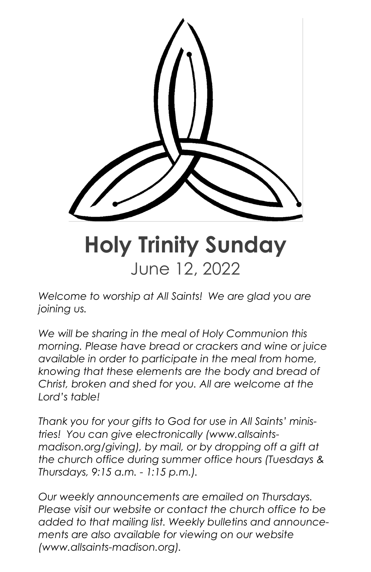

# Holy Trinity Sunday June 12, 2022

Welcome to worship at All Saints! We are glad you are joining us.

We will be sharing in the meal of Holy Communion this morning. Please have bread or crackers and wine or juice available in order to participate in the meal from home, knowing that these elements are the body and bread of Christ, broken and shed for you. All are welcome at the Lord's table!

Thank you for your gifts to God for use in All Saints' ministries! You can give electronically (www.allsaintsmadison.org/giving), by mail, or by dropping off a gift at the church office during summer office hours (Tuesdays & Thursdays, 9:15 a.m. - 1:15 p.m.).

Our weekly announcements are emailed on Thursdays. Please visit our website or contact the church office to be added to that mailing list. Weekly bulletins and announcements are also available for viewing on our website (www.allsaints-madison.org).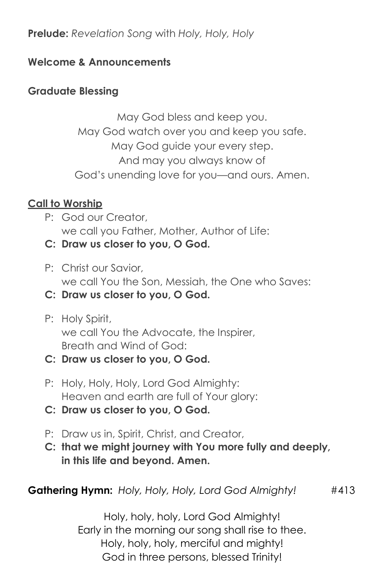Prelude: Revelation Song with Holy, Holy, Holy

# Welcome & Announcements

### Graduate Blessing

May God bless and keep you. May God watch over you and keep you safe. May God guide your every step. And may you always know of God's unending love for you—and ours. Amen.

## Call to Worship

- P: God our Creator, we call you Father, Mother, Author of Life:
- C: Draw us closer to you, O God.
- P: Christ our Savior, we call You the Son, Messiah, the One who Saves:
- C: Draw us closer to you, O God.
- P: Holy Spirit, we call You the Advocate, the Inspirer, Breath and Wind of God:
- C: Draw us closer to you, O God.
- P: Holy, Holy, Holy, Lord God Almighty: Heaven and earth are full of Your glory:
- C: Draw us closer to you, O God.
- P: Draw us in, Spirit, Christ, and Creator,
- C: that we might journey with You more fully and deeply, in this life and beyond. Amen.

Gathering Hymn: Holy, Holy, Holy, Lord God Almighty! #413

Holy, holy, holy, Lord God Almighty! Early in the morning our song shall rise to thee. Holy, holy, holy, merciful and mighty! God in three persons, blessed Trinity!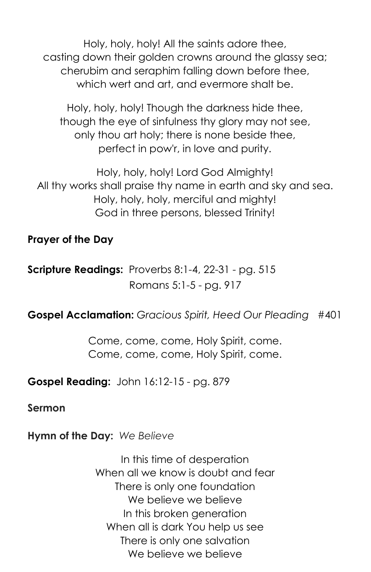Holy, holy, holy! All the saints adore thee, casting down their golden crowns around the glassy sea; cherubim and seraphim falling down before thee, which wert and art, and evermore shalt be.

Holy, holy, holy! Though the darkness hide thee, though the eye of sinfulness thy glory may not see, only thou art holy; there is none beside thee, perfect in pow'r, in love and purity.

Holy, holy, holy! Lord God Almighty! All thy works shall praise thy name in earth and sky and sea. Holy, holy, holy, merciful and mighty! God in three persons, blessed Trinity!

Prayer of the Day

**Scripture Readings:** Proverbs 8:1-4, 22-31 - pg. 515 Romans 5:1-5 - pg. 917

Gospel Acclamation: Gracious Spirit, Heed Our Pleading #401

Come, come, come, Holy Spirit, come. Come, come, come, Holy Spirit, come.

Gospel Reading: John 16:12-15 - pg. 879

Sermon

Hymn of the Day: We Believe

In this time of desperation When all we know is doubt and fear There is only one foundation We believe we believe In this broken generation When all is dark You help us see There is only one salvation We believe we believe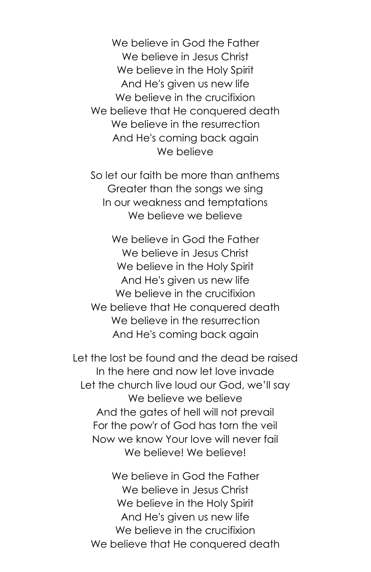We believe in God the Father We believe in Jesus Christ We believe in the Holy Spirit And He's given us new life We believe in the crucifixion We believe that He conquered death We believe in the resurrection And He's coming back again We believe

So let our faith be more than anthems Greater than the songs we sing In our weakness and temptations We believe we believe

We believe in God the Father We believe in Jesus Christ We believe in the Holy Spirit And He's given us new life We believe in the crucifixion We believe that He conquered death We believe in the resurrection And He's coming back again

Let the lost be found and the dead be raised In the here and now let love invade Let the church live loud our God, we'll say We believe we believe And the gates of hell will not prevail For the pow'r of God has torn the veil Now we know Your love will never fail We believe! We believe!

We believe in God the Father We believe in Jesus Christ We believe in the Holy Spirit And He's given us new life We believe in the crucifixion We believe that He conquered death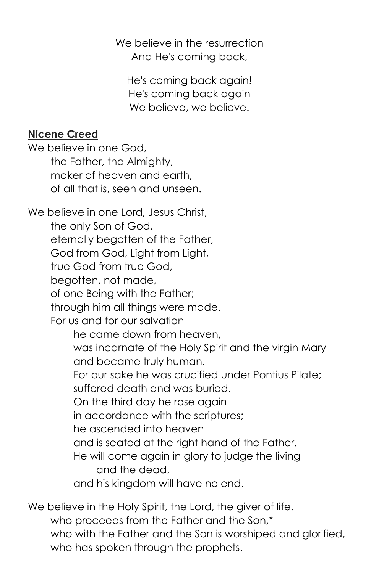We believe in the resurrection And He's coming back,

He's coming back again! He's coming back again We believe, we believe!

#### Nicene Creed

We believe in one God, the Father, the Almighty, maker of heaven and earth, of all that is, seen and unseen.

We believe in one Lord, Jesus Christ, the only Son of God, eternally begotten of the Father, God from God, Light from Light, true God from true God, begotten, not made, of one Being with the Father; through him all things were made. For us and for our salvation he came down from heaven, was incarnate of the Holy Spirit and the virgin Mary and became truly human. For our sake he was crucified under Pontius Pilate; suffered death and was buried. On the third day he rose again in accordance with the scriptures; he ascended into heaven and is seated at the right hand of the Father. He will come again in glory to judge the living and the dead, and his kingdom will have no end.

We believe in the Holy Spirit, the Lord, the giver of life, who proceeds from the Father and the Son,\* who with the Father and the Son is worshiped and glorified, who has spoken through the prophets.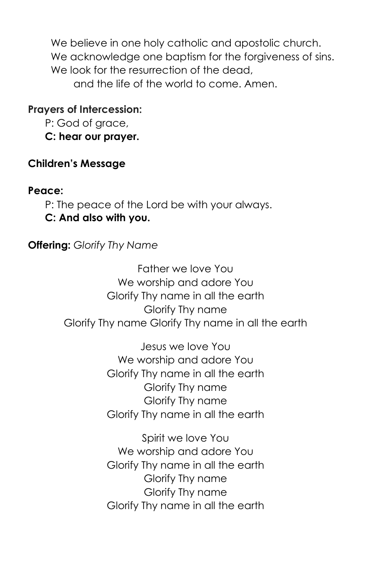We believe in one holy catholic and apostolic church. We acknowledge one baptism for the forgiveness of sins. We look for the resurrection of the dead. and the life of the world to come. Amen.

#### Prayers of Intercession:

P: God of grace,

C: hear our prayer.

#### Children's Message

#### Peace:

 P: The peace of the Lord be with your always. C: And also with you.

**Offering:** Glorify Thy Name

Father we love You We worship and adore You Glorify Thy name in all the earth Glorify Thy name Glorify Thy name Glorify Thy name in all the earth

> Jesus we love You We worship and adore You Glorify Thy name in all the earth Glorify Thy name Glorify Thy name Glorify Thy name in all the earth

> Spirit we love You We worship and adore You Glorify Thy name in all the earth Glorify Thy name Glorify Thy name Glorify Thy name in all the earth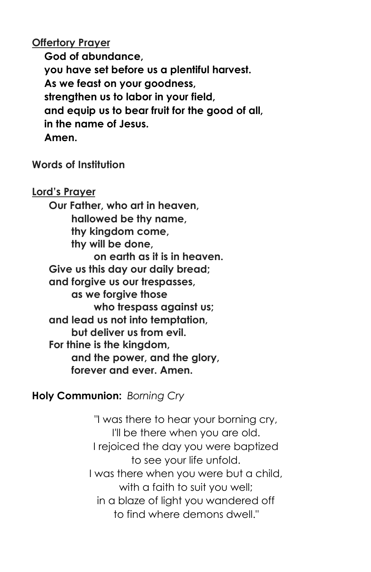Offertory Prayer

God of abundance, you have set before us a plentiful harvest. As we feast on your goodness, strengthen us to labor in your field, and equip us to bear fruit for the good of all, in the name of Jesus. Amen.

#### Words of Institution

Lord's Prayer Our Father, who art in heaven, hallowed be thy name, thy kingdom come, thy will be done, on earth as it is in heaven. Give us this day our daily bread; and forgive us our trespasses, as we forgive those who trespass against us; and lead us not into temptation, but deliver us from evil. For thine is the kingdom, and the power, and the glory, forever and ever. Amen.

Holy Communion: Borning Cry

"I was there to hear your borning cry, I'll be there when you are old. I rejoiced the day you were baptized to see your life unfold. I was there when you were but a child, with a faith to suit you well; in a blaze of light you wandered off to find where demons dwell."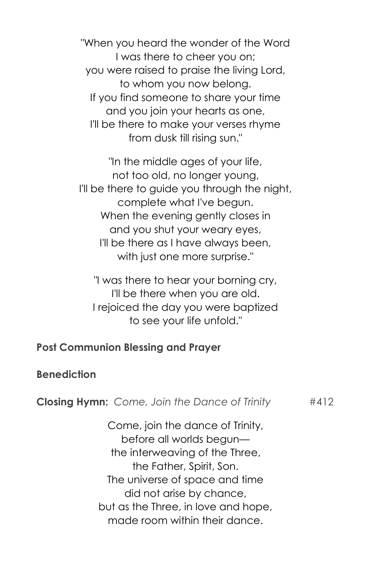"When you heard the wonder of the Word I was there to cheer you on; you were raised to praise the living Lord, to whom you now belong. If you find someone to share your time and you join your hearts as one, I'll be there to make your verses rhyme from dusk till rising sun."

"In the middle ages of your life, not too old, no longer young, I'll be there to quide you through the night, complete what I've begun. When the evening gently closes in and you shut your weary eyes, I'll be there as I have always been, with just one more surprise."

"I was there to hear your borning cry, I'll be there when you are old. I rejoiced the day you were baptized to see your life unfold."

#### Post Communion Blessing and Prayer

#### Benediction

**Closing Hymn:** Come, Join the Dance of Trinity #412

Come, join the dance of Trinity, before all worlds begun the interweaving of the Three, the Father, Spirit, Son. The universe of space and time did not arise by chance, but as the Three, in love and hope, made room within their dance.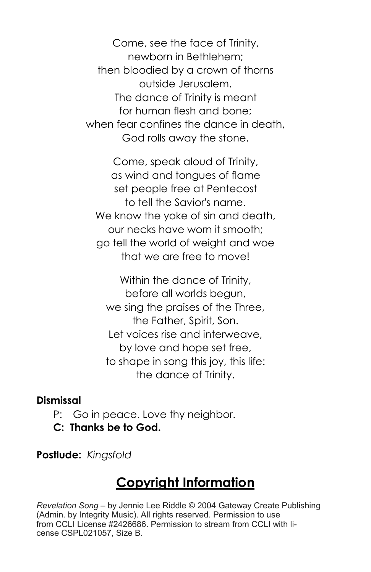Come, see the face of Trinity, newborn in Bethlehem; then bloodied by a crown of thorns outside Jerusalem. The dance of Trinity is meant for human flesh and bone; when fear confines the dance in death, God rolls away the stone.

Come, speak aloud of Trinity, as wind and tongues of flame set people free at Pentecost to tell the Savior's name. We know the yoke of sin and death, our necks have worn it smooth; go tell the world of weight and woe that we are free to move!

Within the dance of Trinity, before all worlds begun, we sing the praises of the Three, the Father, Spirit, Son. Let voices rise and interweave, by love and hope set free, to shape in song this joy, this life: the dance of Trinity.

#### Dismissal

P: Go in peace. Love thy neighbor.

C: Thanks be to God.

Postlude: Kingsfold

# Copyright Information

Revelation Song – by Jennie Lee Riddle  $@$  2004 Gateway Create Publishing (Admin. by Integrity Music). All rights reserved. Permission to use from CCLI License #2426686. Permission to stream from CCLI with license CSPL021057. Size B.